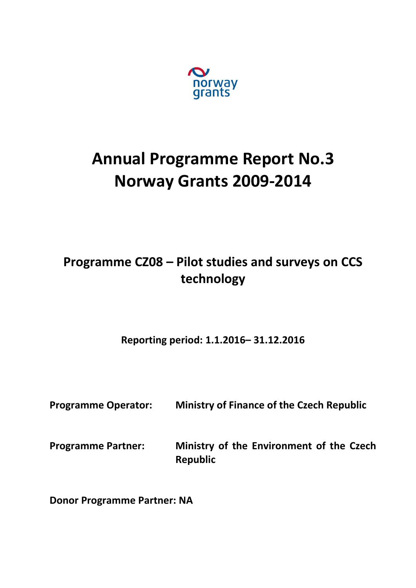

# **Annual Programme Report No.3 Norway Grants 2009-2014**

## **Programme CZ08 – Pilot studies and surveys on CCS technology**

**Reporting period: 1.1.2016– 31.12.2016**

| <b>Programme Operator:</b> | <b>Ministry of Finance of the Czech Republic</b>            |
|----------------------------|-------------------------------------------------------------|
| <b>Programme Partner:</b>  | Ministry of the Environment of the Czech<br><b>Republic</b> |

**Donor Programme Partner: NA**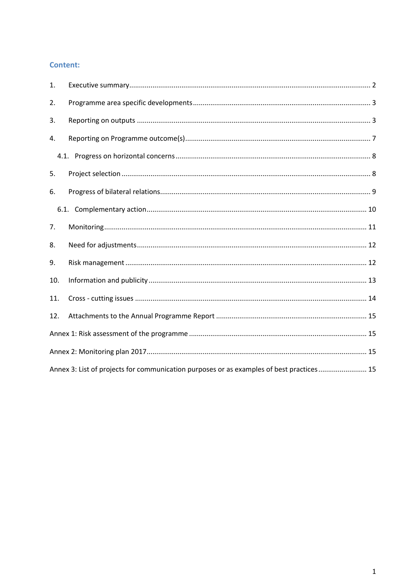#### **Content:**

| 1.  |                                                                                          |  |
|-----|------------------------------------------------------------------------------------------|--|
| 2.  |                                                                                          |  |
| 3.  |                                                                                          |  |
| 4.  |                                                                                          |  |
|     |                                                                                          |  |
| 5.  |                                                                                          |  |
| 6.  |                                                                                          |  |
|     |                                                                                          |  |
| 7.  |                                                                                          |  |
| 8.  |                                                                                          |  |
| 9.  |                                                                                          |  |
| 10. |                                                                                          |  |
| 11. |                                                                                          |  |
| 12. |                                                                                          |  |
|     |                                                                                          |  |
|     |                                                                                          |  |
|     | Annex 3: List of projects for communication purposes or as examples of best practices 15 |  |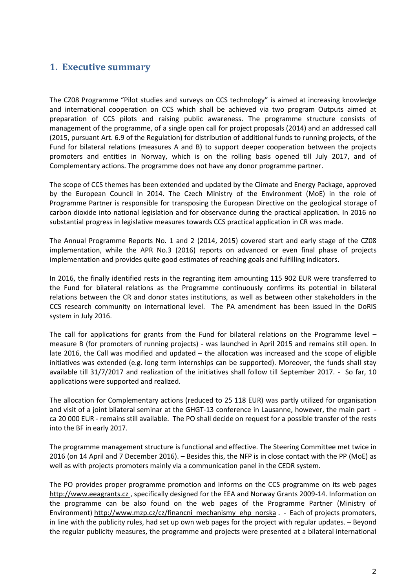## <span id="page-2-0"></span>**1. Executive summary**

The CZ08 Programme "Pilot studies and surveys on CCS technology" is aimed at increasing knowledge and international cooperation on CCS which shall be achieved via two program Outputs aimed at preparation of CCS pilots and raising public awareness. The programme structure consists of management of the programme, of a single open call for project proposals (2014) and an addressed call (2015, pursuant Art. 6.9 of the Regulation) for distribution of additional funds to running projects, of the Fund for bilateral relations (measures A and B) to support deeper cooperation between the projects promoters and entities in Norway, which is on the rolling basis opened till July 2017, and of Complementary actions. The programme does not have any donor programme partner.

The scope of CCS themes has been extended and updated by the Climate and Energy Package, approved by the European Council in 2014. The Czech Ministry of the Environment (MoE) in the role of Programme Partner is responsible for transposing the European Directive on the geological storage of carbon dioxide into national legislation and for observance during the practical application. In 2016 no substantial progress in legislative measures towards CCS practical application in CR was made.

The Annual Programme Reports No. 1 and 2 (2014, 2015) covered start and early stage of the CZ08 implementation, while the APR No.3 (2016) reports on advanced or even final phase of projects implementation and provides quite good estimates of reaching goals and fulfilling indicators.

In 2016, the finally identified rests in the regranting item amounting 115 902 EUR were transferred to the Fund for bilateral relations as the Programme continuously confirms its potential in bilateral relations between the CR and donor states institutions, as well as between other stakeholders in the CCS research community on international level. The PA amendment has been issued in the DoRIS system in July 2016.

The call for applications for grants from the Fund for bilateral relations on the Programme level – measure B (for promoters of running projects) - was launched in April 2015 and remains still open. In late 2016, the Call was modified and updated – the allocation was increased and the scope of eligible initiatives was extended (e.g. long term internships can be supported). Moreover, the funds shall stay available till 31/7/2017 and realization of the initiatives shall follow till September 2017. - So far, 10 applications were supported and realized.

The allocation for Complementary actions (reduced to 25 118 EUR) was partly utilized for organisation and visit of a joint bilateral seminar at the GHGT-13 conference in Lausanne, however, the main part ca 20 000 EUR - remains still available. The PO shall decide on request for a possible transfer of the rests into the BF in early 2017.

The programme management structure is functional and effective. The Steering Committee met twice in 2016 (on 14 April and 7 December 2016). – Besides this, the NFP is in close contact with the PP (MoE) as well as with projects promoters mainly via a communication panel in the CEDR system.

The PO provides proper programme promotion and informs on the CCS programme on its web pages http://www.eeagrants.cz , specifically designed for the EEA and Norway Grants 2009-14. Information on the programme can be also found on the web pages of the Programme Partner (Ministry of Environment[\) http://www.mzp.cz/cz/financni\\_mechanismy\\_ehp\\_norska](http://www.mzp.cz/cz/financni_mechanismy_ehp_norska) . - Each of projects promoters, in line with the publicity rules, had set up own web pages for the project with regular updates. – Beyond the regular publicity measures, the programme and projects were presented at a bilateral international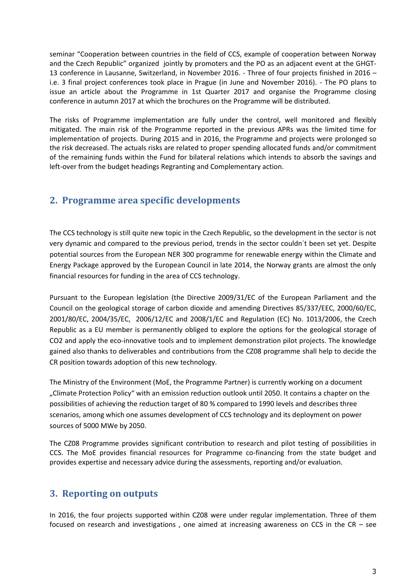seminar "Cooperation between countries in the field of CCS, example of cooperation between Norway and the Czech Republic" organized jointly by promoters and the PO as an adjacent event at the GHGT-13 conference in Lausanne, Switzerland, in November 2016. - Three of four projects finished in 2016 – i.e. 3 final project conferences took place in Prague (in June and November 2016). - The PO plans to issue an article about the Programme in 1st Quarter 2017 and organise the Programme closing conference in autumn 2017 at which the brochures on the Programme will be distributed.

The risks of Programme implementation are fully under the control, well monitored and flexibly mitigated. The main risk of the Programme reported in the previous APRs was the limited time for implementation of projects. During 2015 and in 2016, the Programme and projects were prolonged so the risk decreased. The actuals risks are related to proper spending allocated funds and/or commitment of the remaining funds within the Fund for bilateral relations which intends to absorb the savings and left-over from the budget headings Regranting and Complementary action.

## <span id="page-3-0"></span>**2. Programme area specific developments**

The CCS technology is still quite new topic in the Czech Republic, so the development in the sector is not very dynamic and compared to the previous period, trends in the sector couldn´t been set yet. Despite potential sources from the European NER 300 programme for renewable energy within the Climate and Energy Package approved by the European Council in late 2014, the Norway grants are almost the only financial resources for funding in the area of CCS technology.

Pursuant to the European legislation (the Directive 2009/31/EC of the European Parliament and the Council on the geological storage of carbon dioxide and amending Directives 85/337/EEC, 2000/60/EC, 2001/80/EC, 2004/35/EC, 2006/12/EC and 2008/1/EC and Regulation (EC) No. 1013/2006, the Czech Republic as a EU member is permanently obliged to explore the options for the geological storage of CO2 and apply the eco-innovative tools and to implement demonstration pilot projects. The knowledge gained also thanks to deliverables and contributions from the CZ08 programme shall help to decide the CR position towards adoption of this new technology.

The Ministry of the Environment (MoE, the Programme Partner) is currently working on a document "Climate Protection Policy" with an emission reduction outlook until 2050. It contains a chapter on the possibilities of achieving the reduction target of 80 % compared to 1990 levels and describes three scenarios, among which one assumes development of CCS technology and its deployment on power sources of 5000 MWe by 2050.

The CZ08 Programme provides significant contribution to research and pilot testing of possibilities in CCS. The MoE provides financial resources for Programme co-financing from the state budget and provides expertise and necessary advice during the assessments, reporting and/or evaluation.

## <span id="page-3-1"></span>**3. Reporting on outputs**

In 2016, the four projects supported within CZ08 were under regular implementation. Three of them focused on research and investigations , one aimed at increasing awareness on CCS in the CR – see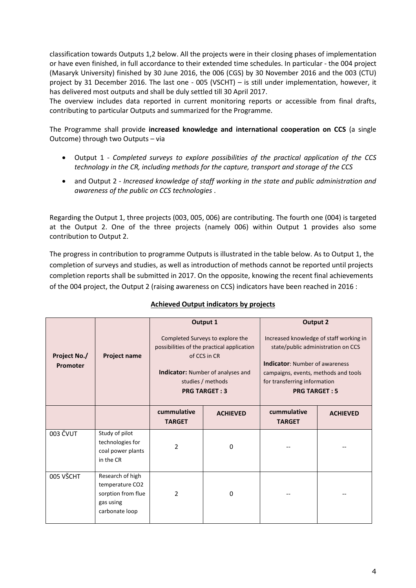classification towards Outputs 1,2 below. All the projects were in their closing phases of implementation or have even finished, in full accordance to their extended time schedules. In particular - the 004 project (Masaryk University) finished by 30 June 2016, the 006 (CGS) by 30 November 2016 and the 003 (CTU) project by 31 December 2016. The last one - 005 (VSCHT) – is still under implementation, however, it has delivered most outputs and shall be duly settled till 30 April 2017.

The overview includes data reported in current monitoring reports or accessible from final drafts, contributing to particular Outputs and summarized for the Programme.

The Programme shall provide **increased knowledge and international cooperation on CCS** (a single Outcome) through two Outputs – via

- Output 1 *Completed surveys to explore possibilities of the practical application of the CCS technology in the CR, including methods for the capture, transport and storage of the CCS*
- and Output 2 *Increased knowledge of staff working in the state and public administration and awareness of the public on CCS technologies* .

Regarding the Output 1, three projects (003, 005, 006) are contributing. The fourth one (004) is targeted at the Output 2. One of the three projects (namely 006) within Output 1 provides also some contribution to Output 2.

The progress in contribution to programme Outputs is illustrated in the table below. As to Output 1, the completion of surveys and studies, as well as introduction of methods cannot be reported until projects completion reports shall be submitted in 2017. On the opposite, knowing the recent final achievements of the 004 project, the Output 2 (raising awareness on CCS) indicators have been reached in 2016 :

| Project No./<br>Promoter | <b>Project name</b>                                                                      | Output 1<br>Completed Surveys to explore the<br>possibilities of the practical application<br>of CCS in CR<br><b>Indicator:</b> Number of analyses and<br>studies / methods<br><b>PRG TARGET: 3</b> |                 | <b>Output 2</b><br>Increased knowledge of staff working in<br>state/public administration on CCS<br><b>Indicator:</b> Number of awareness<br>campaigns, events, methods and tools<br>for transferring information<br><b>PRG TARGET: 5</b> |                 |
|--------------------------|------------------------------------------------------------------------------------------|-----------------------------------------------------------------------------------------------------------------------------------------------------------------------------------------------------|-----------------|-------------------------------------------------------------------------------------------------------------------------------------------------------------------------------------------------------------------------------------------|-----------------|
|                          |                                                                                          | cummulative<br><b>TARGET</b>                                                                                                                                                                        | <b>ACHIEVED</b> | cummulative<br><b>TARGET</b>                                                                                                                                                                                                              | <b>ACHIEVED</b> |
| 003 ČVUT                 | Study of pilot<br>technologies for<br>coal power plants<br>in the CR                     | 2                                                                                                                                                                                                   | $\mathbf 0$     |                                                                                                                                                                                                                                           |                 |
| 005 VŠCHT                | Research of high<br>temperature CO2<br>sorption from flue<br>gas using<br>carbonate loop | 2                                                                                                                                                                                                   | 0               |                                                                                                                                                                                                                                           |                 |

#### **Achieved Output indicators by projects**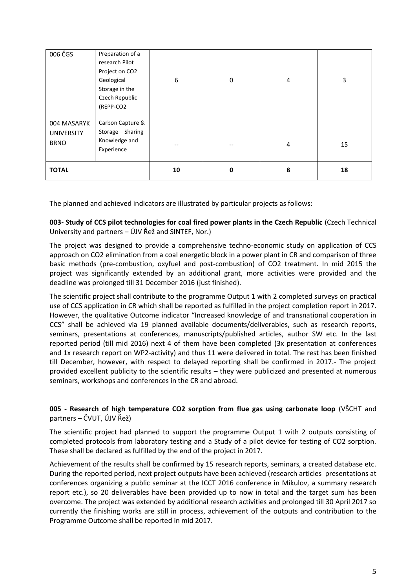| 006 ČGS                                         | Preparation of a<br>research Pilot<br>Project on CO2<br>Geological<br>Storage in the<br>Czech Republic<br>(REPP-CO2 | 6  | $\boldsymbol{0}$ | 4 | 3  |
|-------------------------------------------------|---------------------------------------------------------------------------------------------------------------------|----|------------------|---|----|
| 004 MASARYK<br><b>UNIVERSITY</b><br><b>BRNO</b> | Carbon Capture &<br>Storage - Sharing<br>Knowledge and<br>Experience                                                |    |                  | 4 | 15 |
| <b>TOTAL</b>                                    |                                                                                                                     | 10 | 0                | 8 | 18 |

The planned and achieved indicators are illustrated by particular projects as follows:

**003- Study of CCS pilot technologies for coal fired power plants in the Czech Republic** (Czech Technical University and partners – ÚJV Řež and SINTEF, Nor.)

The project was designed to provide a comprehensive techno-economic study on application of CCS approach on CO2 elimination from a coal energetic block in a power plant in CR and comparison of three basic methods (pre-combustion, oxyfuel and post-combustion) of CO2 treatment. In mid 2015 the project was significantly extended by an additional grant, more activities were provided and the deadline was prolonged till 31 December 2016 (just finished).

The scientific project shall contribute to the programme Output 1 with 2 completed surveys on practical use of CCS application in CR which shall be reported as fulfilled in the project completion report in 2017. However, the qualitative Outcome indicator "Increased knowledge of and transnational cooperation in CCS" shall be achieved via 19 planned available documents/deliverables, such as research reports, seminars, presentations at conferences, manuscripts/published articles, author SW etc. In the last reported period (till mid 2016) next 4 of them have been completed (3x presentation at conferences and 1x research report on WP2-activity) and thus 11 were delivered in total. The rest has been finished till December, however, with respect to delayed reporting shall be confirmed in 2017.- The project provided excellent publicity to the scientific results – they were publicized and presented at numerous seminars, workshops and conferences in the CR and abroad.

#### **005 - Research of high temperature CO2 sorption from flue gas using carbonate loop** (VŠCHT and partners – ČVUT, ÚJV Řež)

The scientific project had planned to support the programme Output 1 with 2 outputs consisting of completed protocols from laboratory testing and a Study of a pilot device for testing of CO2 sorption. These shall be declared as fulfilled by the end of the project in 2017.

Achievement of the results shall be confirmed by 15 research reports, seminars, a created database etc. During the reported period, next project outputs have been achieved (research articles presentations at conferences organizing a public seminar at the ICCT 2016 conference in Mikulov, a summary research report etc.), so 20 deliverables have been provided up to now in total and the target sum has been overcome. The project was extended by additional research activities and prolonged till 30 April 2017 so currently the finishing works are still in process, achievement of the outputs and contribution to the Programme Outcome shall be reported in mid 2017.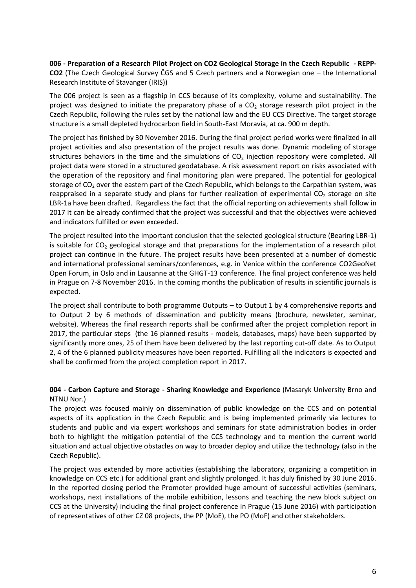**006 - Preparation of a Research Pilot Project on CO2 Geological Storage in the Czech Republic - REPP-CO2** (The Czech Geological Survey ČGS and 5 Czech partners and a Norwegian one – the International Research Institute of Stavanger (IRIS))

The 006 project is seen as a flagship in CCS because of its complexity, volume and sustainability. The project was designed to initiate the preparatory phase of a  $CO<sub>2</sub>$  storage research pilot project in the Czech Republic, following the rules set by the national law and the EU CCS Directive. The target storage structure is a small depleted hydrocarbon field in South-East Moravia, at ca. 900 m depth.

The project has finished by 30 November 2016. During the final project period works were finalized in all project activities and also presentation of the project results was done. Dynamic modeling of storage structures behaviors in the time and the simulations of  $CO<sub>2</sub>$  injection repository were completed. All project data were stored in a structured geodatabase. A risk assessment report on risks associated with the operation of the repository and final monitoring plan were prepared. The potential for geological storage of  $CO<sub>2</sub>$  over the eastern part of the Czech Republic, which belongs to the Carpathian system, was reappraised in a separate study and plans for further realization of experimental  $CO<sub>2</sub>$  storage on site LBR-1a have been drafted. Regardless the fact that the official reporting on achievements shall follow in 2017 it can be already confirmed that the project was successful and that the objectives were achieved and indicators fulfilled or even exceeded.

The project resulted into the important conclusion that the selected geological structure (Bearing LBR-1) is suitable for  $CO<sub>2</sub>$  geological storage and that preparations for the implementation of a research pilot project can continue in the future. The project results have been presented at a number of domestic and international professional seminars/conferences, e.g. in Venice within the conference CO2GeoNet Open Forum, in Oslo and in Lausanne at the GHGT-13 conference. The final project conference was held in Prague on 7-8 November 2016. In the coming months the publication of results in scientific journals is expected.

The project shall contribute to both programme Outputs – to Output 1 by 4 comprehensive reports and to Output 2 by 6 methods of dissemination and publicity means (brochure, newsleter, seminar, website). Whereas the final research reports shall be confirmed after the project completion report in 2017, the particular steps (the 16 planned results - models, databases, maps) have been supported by significantly more ones, 25 of them have been delivered by the last reporting cut-off date. As to Output 2, 4 of the 6 planned publicity measures have been reported. Fulfilling all the indicators is expected and shall be confirmed from the project completion report in 2017.

**004 - Carbon Capture and Storage - Sharing Knowledge and Experience** (Masaryk University Brno and NTNU Nor.)

The project was focused mainly on dissemination of public knowledge on the CCS and on potential aspects of its application in the Czech Republic and is being implemented primarily via lectures to students and public and via expert workshops and seminars for state administration bodies in order both to highlight the mitigation potential of the CCS technology and to mention the current world situation and actual objective obstacles on way to broader deploy and utilize the technology (also in the Czech Republic).

The project was extended by more activities (establishing the laboratory, organizing a competition in knowledge on CCS etc.) for additional grant and slightly prolonged. It has duly finished by 30 June 2016. In the reported closing period the Promoter provided huge amount of successful activities (seminars, workshops, next installations of the mobile exhibition, lessons and teaching the new block subject on CCS at the University) including the final project conference in Prague (15 June 2016) with participation of representatives of other CZ 08 projects, the PP (MoE), the PO (MoF) and other stakeholders.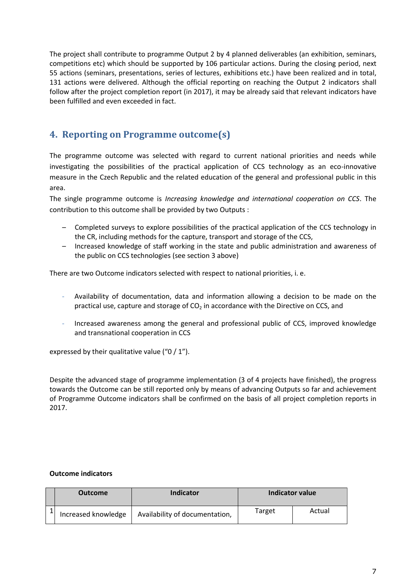The project shall contribute to programme Output 2 by 4 planned deliverables (an exhibition, seminars, competitions etc) which should be supported by 106 particular actions. During the closing period, next 55 actions (seminars, presentations, series of lectures, exhibitions etc.) have been realized and in total, 131 actions were delivered. Although the official reporting on reaching the Output 2 indicators shall follow after the project completion report (in 2017), it may be already said that relevant indicators have been fulfilled and even exceeded in fact.

## <span id="page-7-0"></span>**4. Reporting on Programme outcome(s)**

The programme outcome was selected with regard to current national priorities and needs while investigating the possibilities of the practical application of CCS technology as an eco-innovative measure in the Czech Republic and the related education of the general and professional public in this area.

The single programme outcome is *Increasing knowledge and international cooperation on CCS*. The contribution to this outcome shall be provided by two Outputs :

- Completed surveys to explore possibilities of the practical application of the CCS technology in the CR, including methods for the capture, transport and storage of the CCS,
- Increased knowledge of staff working in the state and public administration and awareness of the public on CCS technologies (see section 3 above)

There are two Outcome indicators selected with respect to national priorities, i. e.

- Availability of documentation, data and information allowing a decision to be made on the practical use, capture and storage of  $CO<sub>2</sub>$  in accordance with the Directive on CCS, and
- Increased awareness among the general and professional public of CCS, improved knowledge and transnational cooperation in CCS

expressed by their qualitative value ("0 / 1").

Despite the advanced stage of programme implementation (3 of 4 projects have finished), the progress towards the Outcome can be still reported only by means of advancing Outputs so far and achievement of Programme Outcome indicators shall be confirmed on the basis of all project completion reports in 2017.

#### **Outcome indicators**

| <b>Outcome</b>      | Indicator                      | Indicator value |        |
|---------------------|--------------------------------|-----------------|--------|
| Increased knowledge | Availability of documentation, | Target          | Actual |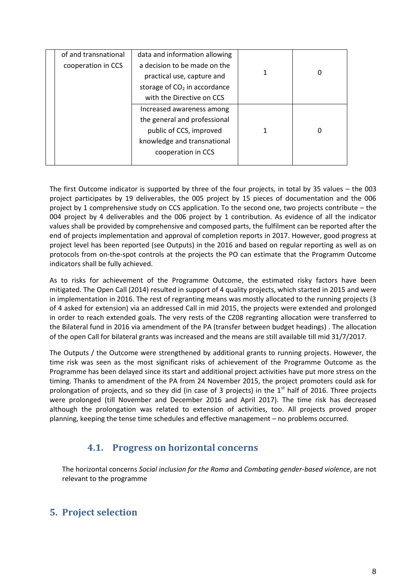| of and transnational | data and information allowing  |   |   |
|----------------------|--------------------------------|---|---|
| cooperation in CCS   | a decision to be made on the   |   |   |
|                      | practical use, capture and     | 1 | 0 |
|                      | storage of $CO2$ in accordance |   |   |
|                      | with the Directive on CCS      |   |   |
|                      | Increased awareness among      |   |   |
|                      | the general and professional   |   |   |
|                      | public of CCS, improved        | 1 |   |
|                      | knowledge and transnational    |   |   |
|                      | cooperation in CCS             |   |   |
|                      |                                |   |   |

The first Outcome indicator is supported by three of the four projects, in total by 35 values – the 003 project participates by 19 deliverables, the 005 project by 15 pieces of documentation and the 006 project by 1 comprehensive study on CCS application. To the second one, two projects contribute – the 004 project by 4 deliverables and the 006 project by 1 contribution. As evidence of all the indicator values shall be provided by comprehensive and composed parts, the fulfilment can be reported after the end of projects implementation and approval of completion reports in 2017. However, good progress at project level has been reported (see Outputs) in the 2016 and based on regular reporting as well as on protocols from on-the-spot controls at the projects the PO can estimate that the Programm Outcome indicators shall be fully achieved.

As to risks for achievement of the Programme Outcome, the estimated risky factors have been mitigated. The Open Call (2014) resulted in support of 4 quality projects, which started in 2015 and were in implementation in 2016. The rest of regranting means was mostly allocated to the running projects (3 of 4 asked for extension) via an addressed Call in mid 2015, the projects were extended and prolonged in order to reach extended goals. The very rests of the CZ08 regranting allocation were transferred to the Bilateral fund in 2016 via amendment of the PA (transfer between budget headings) . The allocation of the open Call for bilateral grants was increased and the means are still available till mid 31/7/2017.

The Outputs / the Outcome were strengthened by additional grants to running projects. However, the time risk was seen as the most significant risks of achievement of the Programme Outcome as the Programme has been delayed since its start and additional project activities have put more stress on the timing. Thanks to amendment of the PA from 24 November 2015, the project promoters could ask for prolongation of projects, and so they did (in case of 3 projects) in the  $1<sup>st</sup>$  half of 2016. Three projects were prolonged (till November and December 2016 and April 2017). The time risk has decreased although the prolongation was related to extension of activities, too. All projects proved proper planning, keeping the tense time schedules and effective management – no problems occurred.

## **4.1. Progress on horizontal concerns**

<span id="page-8-0"></span>The horizontal concerns *Social inclusion for the Roma* and *Combating gender-based violence*, are not relevant to the programme

## <span id="page-8-1"></span>**5. Project selection**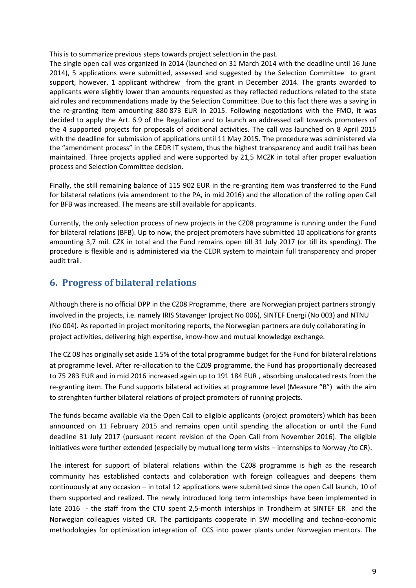This is to summarize previous steps towards project selection in the past.

The single open call was organized in 2014 (launched on 31 March 2014 with the deadline until 16 June 2014), 5 applications were submitted, assessed and suggested by the Selection Committee to grant support, however, 1 applicant withdrew from the grant in December 2014. The grants awarded to applicants were slightly lower than amounts requested as they reflected reductions related to the state aid rules and recommendations made by the Selection Committee. Due to this fact there was a saving in the re-granting item amounting 880 873 EUR in 2015. Following negotiations with the FMO, it was decided to apply the Art. 6.9 of the Regulation and to launch an addressed call towards promoters of the 4 supported projects for proposals of additional activities. The call was launched on 8 April 2015 with the deadline for submission of applications until 11 May 2015. The procedure was administered via the "amendment process" in the CEDR IT system, thus the highest transparency and audit trail has been maintained. Three projects applied and were supported by 21,5 MCZK in total after proper evaluation process and Selection Committee decision.

Finally, the still remaining balance of 115 902 EUR in the re-granting item was transferred to the Fund for bilateral relations (via amendment to the PA, in mid 2016) and the allocation of the rolling open Call for BFB was increased. The means are still available for applicants.

Currently, the only selection process of new projects in the CZ08 programme is running under the Fund for bilateral relations (BFB). Up to now, the project promoters have submitted 10 applications for grants amounting 3,7 mil. CZK in total and the Fund remains open till 31 July 2017 (or till its spending). The procedure is flexible and is administered via the CEDR system to maintain full transparency and proper audit trail.

## <span id="page-9-0"></span>**6. Progress of bilateral relations**

Although there is no official DPP in the CZ08 Programme, there are Norwegian project partners strongly involved in the projects, i.e. namely IRIS Stavanger (project No 006), SINTEF Energi (No 003) and NTNU (No 004). As reported in project monitoring reports, the Norwegian partners are duly collaborating in project activities, delivering high expertise, know-how and mutual knowledge exchange.

The CZ 08 has originally set aside 1.5% of the total programme budget for the Fund for bilateral relations at programme level. After re-allocation to the CZ09 programme, the Fund has proportionally decreased to 75 283 EUR and in mid 2016 increased again up to 191 184 EUR , absorbing unalocated rests from the re-granting item. The Fund supports bilateral activities at programme level (Measure "B") with the aim to strenghten further bilateral relations of project promoters of running projects.

The funds became available via the Open Call to eligible applicants (project promoters) which has been announced on 11 February 2015 and remains open until spending the allocation or until the Fund deadline 31 July 2017 (pursuant recent revision of the Open Call from November 2016). The eligible initiatives were further extended (especially by mutual long term visits – internships to Norway /to CR).

The interest for support of bilateral relations within the CZ08 programme is high as the research community has established contacts and colaboration with foreign colleagues and deepens them continuously at any occasion – in total 12 applications were submitted since the open Call launch, 10 of them supported and realized. The newly introduced long term internships have been implemented in late 2016 - the staff from the CTU spent 2,5-month interships in Trondheim at SINTEF ER and the Norwegian colleagues visited CR. The participants cooperate in SW modelling and techno-economic methodologies for optimization integration of CCS into power plants under Norwegian mentors. The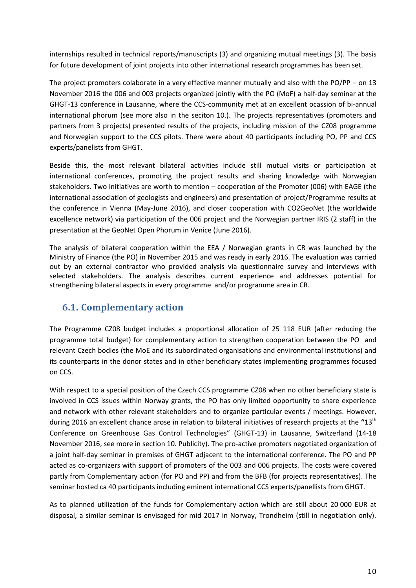internships resulted in technical reports/manuscripts (3) and organizing mutual meetings (3). The basis for future development of joint projects into other international research programmes has been set.

The project promoters colaborate in a very effective manner mutually and also with the PO/PP – on 13 November 2016 the 006 and 003 projects organized jointly with the PO (MoF) a half-day seminar at the GHGT-13 conference in Lausanne, where the CCS-community met at an excellent ocassion of bi-annual international phorum (see more also in the seciton 10.). The projects representatives (promoters and partners from 3 projects) presented results of the projects, including mission of the CZ08 programme and Norwegian support to the CCS pilots. There were about 40 participants including PO, PP and CCS experts/panelists from GHGT.

Beside this, the most relevant bilateral activities include still mutual visits or participation at international conferences, promoting the project results and sharing knowledge with Norwegian stakeholders. Two initiatives are worth to mention – cooperation of the Promoter (006) with EAGE (the international association of geologists and engineers) and presentation of project/Programme results at the conference in Vienna (May-June 2016), and closer cooperation with CO2GeoNet (the worldwide excellence network) via participation of the 006 project and the Norwegian partner IRIS (2 staff) in the presentation at the GeoNet Open Phorum in Venice (June 2016).

The analysis of bilateral cooperation within the EEA / Norwegian grants in CR was launched by the Ministry of Finance (the PO) in November 2015 and was ready in early 2016. The evaluation was carried out by an external contractor who provided analysis via questionnaire survey and interviews with selected stakeholders. The analysis describes current experience and addresses potential for strengthening bilateral aspects in every programme and/or programme area in CR.

## <span id="page-10-0"></span>**6.1. Complementary action**

The Programme CZ08 budget includes a proportional allocation of 25 118 EUR (after reducing the programme total budget) for complementary action to strengthen cooperation between the PO and relevant Czech bodies (the MoE and its subordinated organisations and environmental institutions) and its counterparts in the donor states and in other beneficiary states implementing programmes focused on CCS.

With respect to a special position of the Czech CCS programme CZ08 when no other beneficiary state is involved in CCS issues within Norway grants, the PO has only limited opportunity to share experience and network with other relevant stakeholders and to organize particular events / meetings. However, during 2016 an excellent chance arose in relation to bilateral initiatives of research projects at the **"**13th Conference on Greenhouse Gas Control Technologies" (GHGT-13) in Lausanne, Switzerland (14-18 November 2016, see more in section 10. Publicity). The pro-active promoters negotiated organization of a joint half-day seminar in premises of GHGT adjacent to the international conference. The PO and PP acted as co-organizers with support of promoters of the 003 and 006 projects. The costs were covered partly from Complementary action (for PO and PP) and from the BFB (for projects representatives). The seminar hosted ca 40 participants including eminent international CCS experts/panellists from GHGT.

As to planned utilization of the funds for Complementary action which are still about 20 000 EUR at disposal, a similar seminar is envisaged for mid 2017 in Norway, Trondheim (still in negotiation only).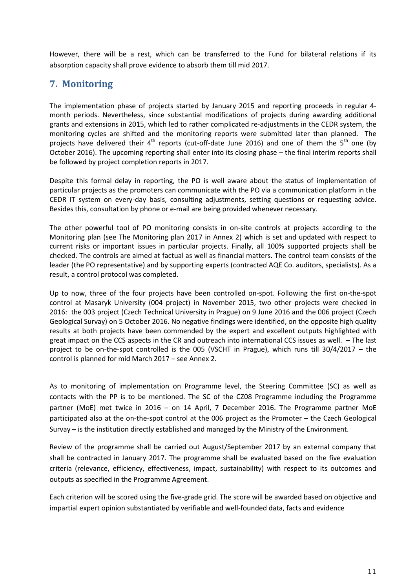However, there will be a rest, which can be transferred to the Fund for bilateral relations if its absorption capacity shall prove evidence to absorb them till mid 2017.

## <span id="page-11-0"></span>**7. Monitoring**

The implementation phase of projects started by January 2015 and reporting proceeds in regular 4 month periods. Nevertheless, since substantial modifications of projects during awarding additional grants and extensions in 2015, which led to rather complicated re-adjustments in the CEDR system, the monitoring cycles are shifted and the monitoring reports were submitted later than planned. The projects have delivered their  $4<sup>th</sup>$  reports (cut-off-date June 2016) and one of them the  $5<sup>th</sup>$  one (by October 2016). The upcoming reporting shall enter into its closing phase – the final interim reports shall be followed by project completion reports in 2017.

Despite this formal delay in reporting, the PO is well aware about the status of implementation of particular projects as the promoters can communicate with the PO via a communication platform in the CEDR IT system on every-day basis, consulting adjustments, setting questions or requesting advice. Besides this, consultation by phone or e-mail are being provided whenever necessary.

The other powerful tool of PO monitoring consists in on-site controls at projects according to the Monitoring plan (see The Monitoring plan 2017 in Annex 2) which is set and updated with respect to current risks or important issues in particular projects. Finally, all 100% supported projects shall be checked. The controls are aimed at factual as well as financial matters. The control team consists of the leader (the PO representative) and by supporting experts (contracted AQE Co. auditors, specialists). As a result, a control protocol was completed.

Up to now, three of the four projects have been controlled on-spot. Following the first on-the-spot control at Masaryk University (004 project) in November 2015, two other projects were checked in 2016: the 003 project (Czech Technical University in Prague) on 9 June 2016 and the 006 project (Czech Geological Survay) on 5 October 2016. No negative findings were identified, on the opposite high quality results at both projects have been commended by the expert and excellent outputs highlighted with great impact on the CCS aspects in the CR and outreach into international CCS issues as well. – The last project to be on-the-spot controlled is the 005 (VSCHT in Prague), which runs till 30/4/2017 – the control is planned for mid March 2017 – see Annex 2.

As to monitoring of implementation on Programme level, the Steering Committee (SC) as well as contacts with the PP is to be mentioned. The SC of the CZ08 Programme including the Programme partner (MoE) met twice in 2016 – on 14 April, 7 December 2016. The Programme partner MoE participated also at the on-the-spot control at the 006 project as the Promoter – the Czech Geological Survay – is the institution directly established and managed by the Ministry of the Environment.

Review of the programme shall be carried out August/September 2017 by an external company that shall be contracted in January 2017. The programme shall be evaluated based on the five evaluation criteria (relevance, efficiency, effectiveness, impact, sustainability) with respect to its outcomes and outputs as specified in the Programme Agreement.

Each criterion will be scored using the five-grade grid. The score will be awarded based on objective and impartial expert opinion substantiated by verifiable and well-founded data, facts and evidence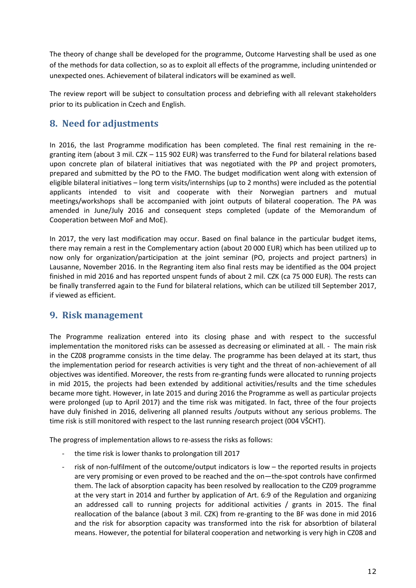The theory of change shall be developed for the programme, Outcome Harvesting shall be used as one of the methods for data collection, so as to exploit all effects of the programme, including unintended or unexpected ones. Achievement of bilateral indicators will be examined as well.

The review report will be subject to consultation process and debriefing with all relevant stakeholders prior to its publication in Czech and English.

## <span id="page-12-0"></span>**8. Need for adjustments**

In 2016, the last Programme modification has been completed. The final rest remaining in the regranting item (about 3 mil. CZK – 115 902 EUR) was transferred to the Fund for bilateral relations based upon concrete plan of bilateral initiatives that was negotiated with the PP and project promoters, prepared and submitted by the PO to the FMO. The budget modification went along with extension of eligible bilateral initiatives – long term visits/internships (up to 2 months) were included as the potential applicants intended to visit and cooperate with their Norwegian partners and mutual meetings/workshops shall be accompanied with joint outputs of bilateral cooperation. The PA was amended in June/July 2016 and consequent steps completed (update of the Memorandum of Cooperation between MoF and MoE).

In 2017, the very last modification may occur. Based on final balance in the particular budget items, there may remain a rest in the Complementary action (about 20 000 EUR) which has been utilized up to now only for organization/participation at the joint seminar (PO, projects and project partners) in Lausanne, November 2016. In the Regranting item also final rests may be identified as the 004 project finished in mid 2016 and has reported unspent funds of about 2 mil. CZK (ca 75 000 EUR). The rests can be finally transferred again to the Fund for bilateral relations, which can be utilized till September 2017, if viewed as efficient.

## <span id="page-12-1"></span>**9. Risk management**

The Programme realization entered into its closing phase and with respect to the successful implementation the monitored risks can be assessed as decreasing or eliminated at all. - The main risk in the CZ08 programme consists in the time delay. The programme has been delayed at its start, thus the implementation period for research activities is very tight and the threat of non-achievement of all objectives was identified. Moreover, the rests from re-granting funds were allocated to running projects in mid 2015, the projects had been extended by additional activities/results and the time schedules became more tight. However, in late 2015 and during 2016 the Programme as well as particular projects were prolonged (up to April 2017) and the time risk was mitigated. In fact, three of the four projects have duly finished in 2016, delivering all planned results /outputs without any serious problems. The time risk is still monitored with respect to the last running research project (004 VŠCHT).

The progress of implementation allows to re-assess the risks as follows:

- the time risk is lower thanks to prolongation till 2017
- risk of non-fulfilment of the outcome/output indicators is low  $-$  the reported results in projects are very promising or even proved to be reached and the on—the-spot controls have confirmed them. The lack of absorption capacity has been resolved by reallocation to the CZ09 programme at the very start in 2014 and further by application of Art. 6:9 of the Regulation and organizing an addressed call to running projects for additional activities / grants in 2015. The final reallocation of the balance (about 3 mil. CZK) from re-granting to the BF was done in mid 2016 and the risk for absorption capacity was transformed into the risk for absorbtion of bilateral means. However, the potential for bilateral cooperation and networking is very high in CZ08 and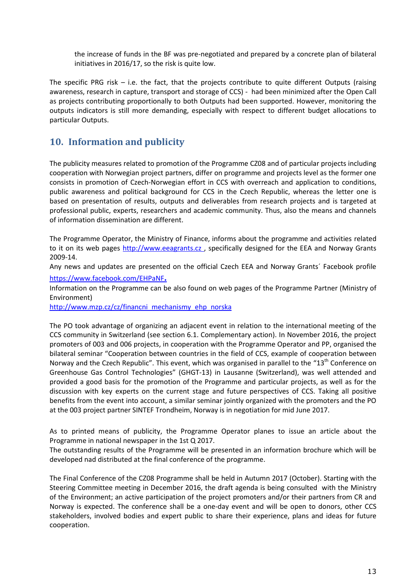the increase of funds in the BF was pre-negotiated and prepared by a concrete plan of bilateral initiatives in 2016/17, so the risk is quite low.

The specific PRG risk  $-$  i.e. the fact, that the projects contribute to quite different Outputs (raising awareness, research in capture, transport and storage of CCS) - had been minimized after the Open Call as projects contributing proportionally to both Outputs had been supported. However, monitoring the outputs indicators is still more demanding, especially with respect to different budget allocations to particular Outputs.

## <span id="page-13-0"></span>**10. Information and publicity**

The publicity measures related to promotion of the Programme CZ08 and of particular projects including cooperation with Norwegian project partners, differ on programme and projects level as the former one consists in promotion of Czech-Norwegian effort in CCS with overreach and application to conditions, public awareness and political background for CCS in the Czech Republic, whereas the letter one is based on presentation of results, outputs and deliverables from research projects and is targeted at professional public, experts, researchers and academic community. Thus, also the means and channels of information dissemination are different.

The Programme Operator, the Ministry of Finance, informs about the programme and activities related to it on its web pages http://www.eeagrants.cz, specifically designed for the EEA and Norway Grants 2009-14.

Any news and updates are presented on the official Czech EEA and Norway Grants´ Facebook profile <https://www.facebook.com/EHPaNF>**.** 

Information on the Programme can be also found on web pages of the Programme Partner (Ministry of Environment)

[http://www.mzp.cz/cz/financni\\_mechanismy\\_ehp\\_norska](http://www.mzp.cz/cz/financni_mechanismy_ehp_norska)

The PO took advantage of organizing an adjacent event in relation to the international meeting of the CCS community in Switzerland (see section 6.1. Complementary action). In November 2016, the project promoters of 003 and 006 projects, in cooperation with the Programme Operator and PP, organised the bilateral seminar "Cooperation between countries in the field of CCS, example of cooperation between Norway and the Czech Republic". This event, which was organised in parallel to the "13<sup>th</sup> Conference on Greenhouse Gas Control Technologies" (GHGT-13) in Lausanne (Switzerland), was well attended and provided a good basis for the promotion of the Programme and particular projects, as well as for the discussion with key experts on the current stage and future perspectives of CCS. Taking all positive benefits from the event into account, a similar seminar jointly organized with the promoters and the PO at the 003 project partner SINTEF Trondheim, Norway is in negotiation for mid June 2017.

As to printed means of publicity, the Programme Operator planes to issue an article about the Programme in national newspaper in the 1st Q 2017.

The outstanding results of the Programme will be presented in an information brochure which will be developed nad distributed at the final conference of the programme.

The Final Conference of the CZ08 Programme shall be held in Autumn 2017 (October). Starting with the Steering Committee meeting in December 2016, the draft agenda is being consulted with the Ministry of the Environment; an active participation of the project promoters and/or their partners from CR and Norway is expected. The conference shall be a one-day event and will be open to donors, other CCS stakeholders, involved bodies and expert public to share their experience, plans and ideas for future cooperation.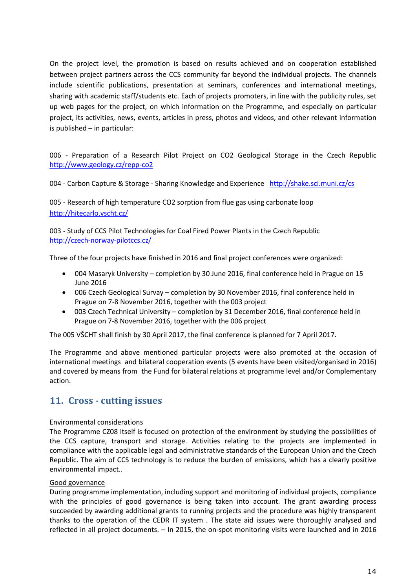On the project level, the promotion is based on results achieved and on cooperation established between project partners across the CCS community far beyond the individual projects. The channels include scientific publications, presentation at seminars, conferences and international meetings, sharing with academic staff/students etc. Each of projects promoters, in line with the publicity rules, set up web pages for the project, on which information on the Programme, and especially on particular project, its activities, news, events, articles in press, photos and videos, and other relevant information is published – in particular:

006 - Preparation of a Research Pilot Project on CO2 Geological Storage in the Czech Republic <http://www.geology.cz/repp-co2>

004 - Carbon Capture & Storage - Sharing Knowledge and Experience <http://shake.sci.muni.cz/cs>

005 - Research of high temperature CO2 sorption from flue gas using carbonate loop <http://hitecarlo.vscht.cz/>

003 - Study of CCS Pilot Technologies for Coal Fired Power Plants in the Czech Republic <http://czech-norway-pilotccs.cz/>

Three of the four projects have finished in 2016 and final project conferences were organized:

- 004 Masaryk University completion by 30 June 2016, final conference held in Prague on 15 June 2016
- 006 Czech Geological Survay completion by 30 November 2016, final conference held in Prague on 7-8 November 2016, together with the 003 project
- 003 Czech Technical University completion by 31 December 2016, final conference held in Prague on 7-8 November 2016, together with the 006 project

The 005 VŠCHT shall finish by 30 April 2017, the final conference is planned for 7 April 2017.

The Programme and above mentioned particular projects were also promoted at the occasion of international meetings and bilateral cooperation events (5 events have been visited/organised in 2016) and covered by means from the Fund for bilateral relations at programme level and/or Complementary action.

### <span id="page-14-0"></span>**11. Cross - cutting issues**

#### Environmental considerations

The Programme CZ08 itself is focused on protection of the environment by studying the possibilities of the CCS capture, transport and storage. Activities relating to the projects are implemented in compliance with the applicable legal and administrative standards of the European Union and the Czech Republic. The aim of CCS technology is to reduce the burden of emissions, which has a clearly positive environmental impact..

#### Good governance

During programme implementation, including support and monitoring of individual projects, compliance with the principles of good governance is being taken into account. The grant awarding process succeeded by awarding additional grants to running projects and the procedure was highly transparent thanks to the operation of the CEDR IT system . The state aid issues were thoroughly analysed and reflected in all project documents. – In 2015, the on-spot monitoring visits were launched and in 2016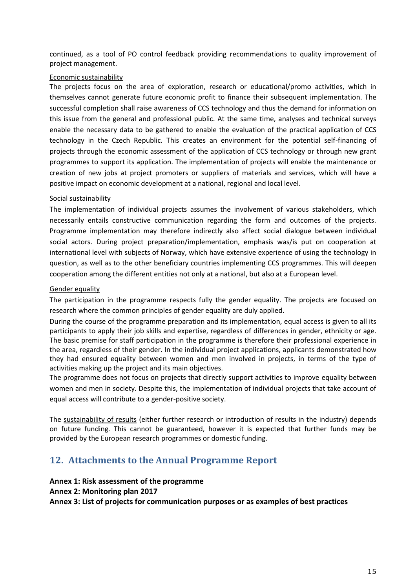continued, as a tool of PO control feedback providing recommendations to quality improvement of project management.

#### Economic sustainability

The projects focus on the area of exploration, research or educational/promo activities, which in themselves cannot generate future economic profit to finance their subsequent implementation. The successful completion shall raise awareness of CCS technology and thus the demand for information on this issue from the general and professional public. At the same time, analyses and technical surveys enable the necessary data to be gathered to enable the evaluation of the practical application of CCS technology in the Czech Republic. This creates an environment for the potential self-financing of projects through the economic assessment of the application of CCS technology or through new grant programmes to support its application. The implementation of projects will enable the maintenance or creation of new jobs at project promoters or suppliers of materials and services, which will have a positive impact on economic development at a national, regional and local level.

#### Social sustainability

The implementation of individual projects assumes the involvement of various stakeholders, which necessarily entails constructive communication regarding the form and outcomes of the projects. Programme implementation may therefore indirectly also affect social dialogue between individual social actors. During project preparation/implementation, emphasis was/is put on cooperation at international level with subjects of Norway, which have extensive experience of using the technology in question, as well as to the other beneficiary countries implementing CCS programmes. This will deepen cooperation among the different entities not only at a national, but also at a European level.

#### Gender equality

The participation in the programme respects fully the gender equality. The projects are focused on research where the common principles of gender equality are duly applied.

During the course of the programme preparation and its implementation, equal access is given to all its participants to apply their job skills and expertise, regardless of differences in gender, ethnicity or age. The basic premise for staff participation in the programme is therefore their professional experience in the area, regardless of their gender. In the individual project applications, applicants demonstrated how they had ensured equality between women and men involved in projects, in terms of the type of activities making up the project and its main objectives.

The programme does not focus on projects that directly support activities to improve equality between women and men in society. Despite this, the implementation of individual projects that take account of equal access will contribute to a gender-positive society.

The sustainability of results (either further research or introduction of results in the industry) depends on future funding. This cannot be guaranteed, however it is expected that further funds may be provided by the European research programmes or domestic funding.

## <span id="page-15-0"></span>**12. Attachments to the Annual Programme Report**

#### <span id="page-15-1"></span>**Annex 1: Risk assessment of the programme**

<span id="page-15-2"></span>**Annex 2: Monitoring plan 2017**

<span id="page-15-3"></span>**Annex 3: List of projects for communication purposes or as examples of best practices**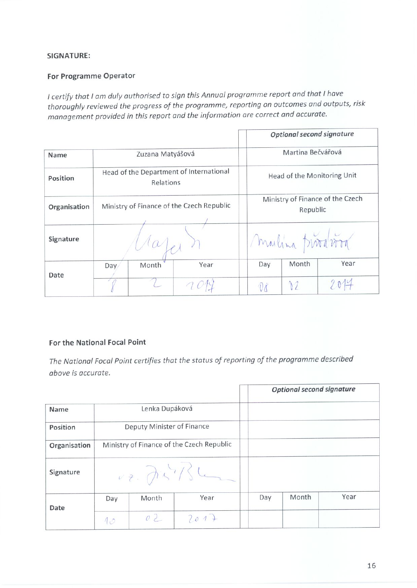#### SIGNATURE:

#### For Programme Operator

I certify that I am duly authorised to sign this Annual programme report and that I have thoroughly reviewed the progress of the programme, reporting on outcomes and outputs, risk management provided in this report and the information are correct and accurate.

|              |      |                  |                                           |                             | Optional second signature                    |      |  |
|--------------|------|------------------|-------------------------------------------|-----------------------------|----------------------------------------------|------|--|
| Name         |      | Zuzana Matyášová |                                           |                             | Martina Bečvářová                            |      |  |
| Position     |      | Relations        | Head of the Department of International   | Head of the Monitoring Unit |                                              |      |  |
| Organisation |      |                  | Ministry of Finance of the Czech Republic |                             | Ministry of Finance of the Czech<br>Republic |      |  |
| Signature    |      |                  |                                           |                             | Mulina trivation                             |      |  |
|              | Day/ | Month            | Year                                      | Day                         | Month                                        | Year |  |
| Date         |      |                  |                                           |                             |                                              | 2014 |  |

#### For the National Focal Point

The National Focal Point certifies that the status of reporting of the programme described above is accurate.

|              |     |                              |                                           |     | <b>Optional second signature</b> |      |
|--------------|-----|------------------------------|-------------------------------------------|-----|----------------------------------|------|
| Name         |     | Lenka Dupáková               |                                           |     |                                  |      |
| Position     |     | Deputy Minister of Finance   |                                           |     |                                  |      |
| Organisation |     |                              | Ministry of Finance of the Czech Republic |     |                                  |      |
| Signature    |     | $\nu$ ?. $\partial x^3/5$ he |                                           |     |                                  |      |
| Date         | Day | Month                        | Year                                      | Day | Month                            | Year |
|              | 10  | 02                           | 2017                                      |     |                                  |      |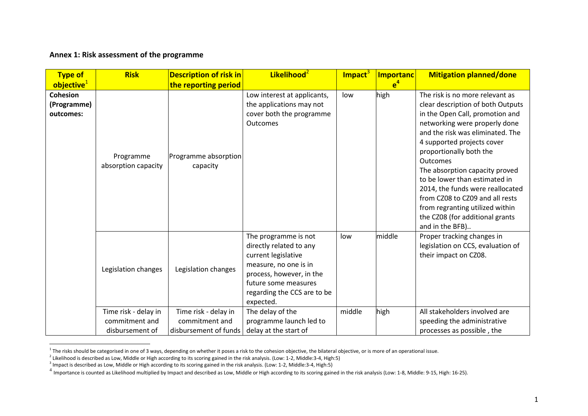#### **Annex 1: Risk assessment of the programme**

| <b>Type of</b>                              | <b>Risk</b>                      | <b>Description of risk in</b>    | Likelihood <sup>2</sup>                                                                                                                                                                         | Impact <sup>3</sup> | <b>Importanc</b> | <b>Mitigation planned/done</b>                                                                                                                                                                                                                                                                                                                                                                                                                                                       |
|---------------------------------------------|----------------------------------|----------------------------------|-------------------------------------------------------------------------------------------------------------------------------------------------------------------------------------------------|---------------------|------------------|--------------------------------------------------------------------------------------------------------------------------------------------------------------------------------------------------------------------------------------------------------------------------------------------------------------------------------------------------------------------------------------------------------------------------------------------------------------------------------------|
| objective <sup>1</sup>                      |                                  | the reporting period             |                                                                                                                                                                                                 |                     | e <sup>4</sup>   |                                                                                                                                                                                                                                                                                                                                                                                                                                                                                      |
| <b>Cohesion</b><br>(Programme)<br>outcomes: | Programme<br>absorption capacity | Programme absorption<br>capacity | Low interest at applicants,<br>the applications may not<br>cover both the programme<br><b>Outcomes</b>                                                                                          | low                 | high             | The risk is no more relevant as<br>clear description of both Outputs<br>in the Open Call, promotion and<br>networking were properly done<br>and the risk was eliminated. The<br>4 supported projects cover<br>proportionally both the<br>Outcomes<br>The absorption capacity proved<br>to be lower than estimated in<br>2014, the funds were reallocated<br>from CZ08 to CZ09 and all rests<br>from regranting utilized within<br>the CZ08 (for additional grants<br>and in the BFB) |
|                                             | Legislation changes              | Legislation changes              | The programme is not<br>directly related to any<br>current legislative<br>measure, no one is in<br>process, however, in the<br>future some measures<br>regarding the CCS are to be<br>expected. | low                 | middle           | Proper tracking changes in<br>legislation on CCS, evaluation of<br>their impact on CZ08.                                                                                                                                                                                                                                                                                                                                                                                             |
|                                             | Time risk - delay in             | Time risk - delay in             | The delay of the                                                                                                                                                                                | middle              | high             | All stakeholders involved are                                                                                                                                                                                                                                                                                                                                                                                                                                                        |
|                                             | commitment and                   | commitment and                   | programme launch led to                                                                                                                                                                         |                     |                  | speeding the administrative                                                                                                                                                                                                                                                                                                                                                                                                                                                          |
|                                             | disbursement of                  | disbursement of funds            | delay at the start of                                                                                                                                                                           |                     |                  | processes as possible, the                                                                                                                                                                                                                                                                                                                                                                                                                                                           |

1 The risks should be categorised in one of 3 ways, depending on whether it poses a risk to the cohesion objective, the bilateral objective, or is more of an operational issue.

<sup>2</sup> Likelihood is described as Low, Middle or High according to its scoring gained in the risk analysis. (Low: 1-2, Middle:3-4, High:5)<br><sup>3</sup> Impact is described as Low, Middle or High according to its scoring gained in the

<sup>&</sup>lt;sup>4</sup> Importance is counted as Likelihood multiplied by Impact and described as Low, Middle or High according to its scoring gained in the risk analysis (Low: 1-8, Middle: 9-15, High: 16-25).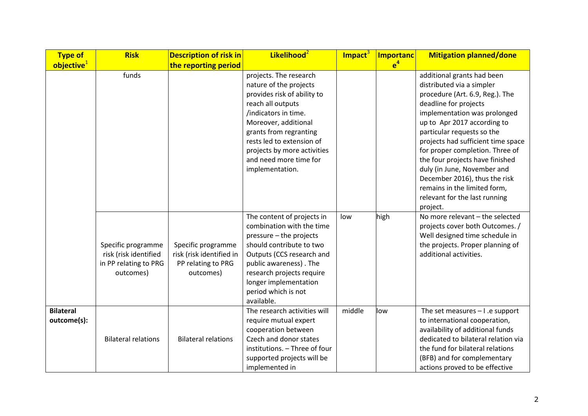| <b>Type of</b>                  | <b>Risk</b>                                                                       | <b>Description of risk in</b>                                                     | Likelihood <sup>2</sup>                                                                                                                                                                                                                                                                 | Impact <sup>3</sup> | <b>Importanc</b> | <b>Mitigation planned/done</b>                                                                                                                                                                                                                                                                                                                                                                                                                                            |
|---------------------------------|-----------------------------------------------------------------------------------|-----------------------------------------------------------------------------------|-----------------------------------------------------------------------------------------------------------------------------------------------------------------------------------------------------------------------------------------------------------------------------------------|---------------------|------------------|---------------------------------------------------------------------------------------------------------------------------------------------------------------------------------------------------------------------------------------------------------------------------------------------------------------------------------------------------------------------------------------------------------------------------------------------------------------------------|
| objective <sup>1</sup>          |                                                                                   | the reporting period                                                              |                                                                                                                                                                                                                                                                                         |                     | e <sup>4</sup>   |                                                                                                                                                                                                                                                                                                                                                                                                                                                                           |
|                                 | funds                                                                             |                                                                                   | projects. The research<br>nature of the projects<br>provides risk of ability to<br>reach all outputs<br>/indicators in time.<br>Moreover, additional<br>grants from regranting<br>rests led to extension of<br>projects by more activities<br>and need more time for<br>implementation. |                     |                  | additional grants had been<br>distributed via a simpler<br>procedure (Art. 6.9, Reg.). The<br>deadline for projects<br>implementation was prolonged<br>up to Apr 2017 according to<br>particular requests so the<br>projects had sufficient time space<br>for proper completion. Three of<br>the four projects have finished<br>duly (in June, November and<br>December 2016), thus the risk<br>remains in the limited form,<br>relevant for the last running<br>project. |
|                                 | Specific programme<br>risk (risk identified<br>in PP relating to PRG<br>outcomes) | Specific programme<br>risk (risk identified in<br>PP relating to PRG<br>outcomes) | The content of projects in<br>combination with the time<br>pressure - the projects<br>should contribute to two<br>Outputs (CCS research and<br>public awareness). The<br>research projects require<br>longer implementation<br>period which is not<br>available.                        | low                 | high             | No more relevant - the selected<br>projects cover both Outcomes. /<br>Well designed time schedule in<br>the projects. Proper planning of<br>additional activities.                                                                                                                                                                                                                                                                                                        |
| <b>Bilateral</b><br>outcome(s): | <b>Bilateral relations</b>                                                        | <b>Bilateral relations</b>                                                        | The research activities will<br>require mutual expert<br>cooperation between<br>Czech and donor states<br>institutions. - Three of four<br>supported projects will be<br>implemented in                                                                                                 | middle              | low              | The set measures $-1$ .e support<br>to international cooperation,<br>availability of additional funds<br>dedicated to bilateral relation via<br>the fund for bilateral relations<br>(BFB) and for complementary<br>actions proved to be effective                                                                                                                                                                                                                         |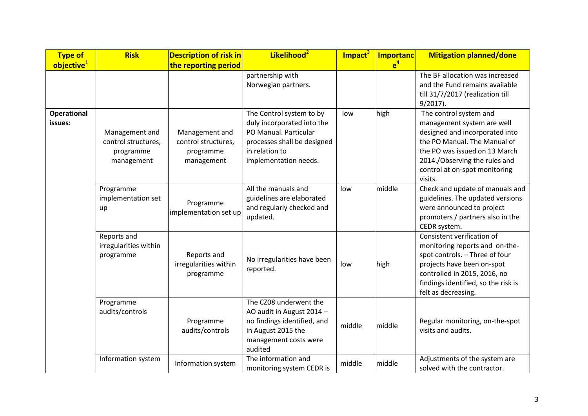| <b>Type of</b>                | <b>Risk</b>                                                      | <b>Description of risk in</b>                                    | Likelihood <sup>2</sup>                                                                                                                                   | Impact <sup>3</sup> | <b>Importanc</b> | <b>Mitigation planned/done</b>                                                                                                                                                                                             |
|-------------------------------|------------------------------------------------------------------|------------------------------------------------------------------|-----------------------------------------------------------------------------------------------------------------------------------------------------------|---------------------|------------------|----------------------------------------------------------------------------------------------------------------------------------------------------------------------------------------------------------------------------|
| objective <sup>1</sup>        |                                                                  | the reporting period                                             |                                                                                                                                                           |                     | e <sup>4</sup>   |                                                                                                                                                                                                                            |
|                               |                                                                  |                                                                  | partnership with<br>Norwegian partners.                                                                                                                   |                     |                  | The BF allocation was increased<br>and the Fund remains available                                                                                                                                                          |
|                               |                                                                  |                                                                  |                                                                                                                                                           |                     |                  | till 31/7/2017 (realization till<br>$9/2017$ ).                                                                                                                                                                            |
| <b>Operational</b><br>issues: | Management and<br>control structures,<br>programme<br>management | Management and<br>control structures,<br>programme<br>management | The Control system to by<br>duly incorporated into the<br>PO Manual. Particular<br>processes shall be designed<br>in relation to<br>implementation needs. | low                 | high             | The control system and<br>management system are well<br>designed and incorporated into<br>the PO Manual. The Manual of<br>the PO was issued on 13 March<br>2014./Observing the rules and<br>control at on-spot monitoring  |
|                               |                                                                  |                                                                  |                                                                                                                                                           |                     |                  | visits.                                                                                                                                                                                                                    |
|                               | Programme<br>implementation set<br>up                            | Programme<br>implementation set up                               | All the manuals and<br>guidelines are elaborated<br>and regularly checked and<br>updated.                                                                 | low                 | middle           | Check and update of manuals and<br>guidelines. The updated versions<br>were announced to project<br>promoters / partners also in the<br>CEDR system.                                                                       |
|                               | Reports and<br>irregularities within<br>programme                | Reports and<br>irregularities within<br>programme                | No irregularities have been<br>reported.                                                                                                                  | low                 | high             | Consistent verification of<br>monitoring reports and on-the-<br>spot controls. - Three of four<br>projects have been on-spot<br>controlled in 2015, 2016, no<br>findings identified, so the risk is<br>felt as decreasing. |
|                               | Programme<br>audits/controls                                     | Programme<br>audits/controls                                     | The CZ08 underwent the<br>AO audit in August 2014 -<br>no findings identified, and<br>in August 2015 the<br>management costs were<br>audited              | middle              | middle           | Regular monitoring, on-the-spot<br>visits and audits.                                                                                                                                                                      |
|                               | Information system                                               | Information system                                               | The information and<br>monitoring system CEDR is                                                                                                          | middle              | middle           | Adjustments of the system are<br>solved with the contractor.                                                                                                                                                               |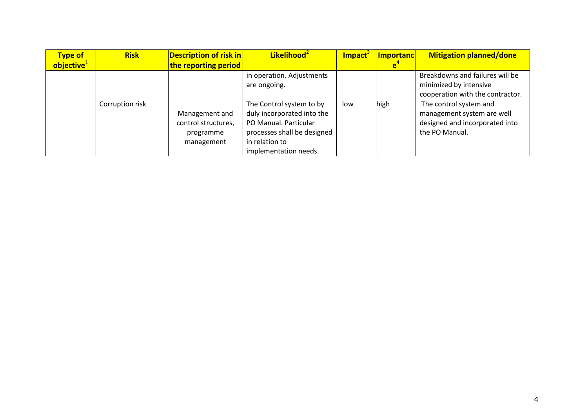| <b>Type of</b>         | <b>Risk</b>     | <b>Description of risk in</b> | Likelihood <sup>2</sup>     | Impact | Importanc | <b>Mitigation planned/done</b>   |
|------------------------|-----------------|-------------------------------|-----------------------------|--------|-----------|----------------------------------|
| objective <sup>1</sup> |                 | the reporting period          |                             |        |           |                                  |
|                        |                 |                               | in operation. Adjustments   |        |           | Breakdowns and failures will be  |
|                        |                 |                               | are ongoing.                |        |           | minimized by intensive           |
|                        |                 |                               |                             |        |           | cooperation with the contractor. |
|                        | Corruption risk |                               | The Control system to by    | low    | high      | The control system and           |
|                        |                 | Management and                | duly incorporated into the  |        |           | management system are well       |
|                        |                 | control structures,           | PO Manual. Particular       |        |           | designed and incorporated into   |
|                        |                 | programme                     | processes shall be designed |        |           | the PO Manual.                   |
|                        |                 | management                    | in relation to              |        |           |                                  |
|                        |                 |                               | implementation needs.       |        |           |                                  |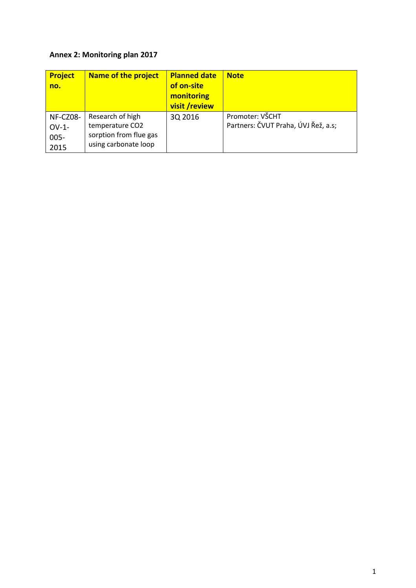## **Annex 2: Monitoring plan 2017**

| <b>Project</b><br>no.                   | <b>Name of the project</b>                                                            | <b>Planned date</b><br>of on-site<br>monitoring<br>visit /review | <b>Note</b>                                            |
|-----------------------------------------|---------------------------------------------------------------------------------------|------------------------------------------------------------------|--------------------------------------------------------|
| NF-CZ08-<br>$OV-1$ -<br>$005 -$<br>2015 | Research of high<br>temperature CO2<br>sorption from flue gas<br>using carbonate loop | 3Q 2016                                                          | Promoter: VŠCHT<br>Partners: ČVUT Praha, ÚVJ Řež, a.s; |